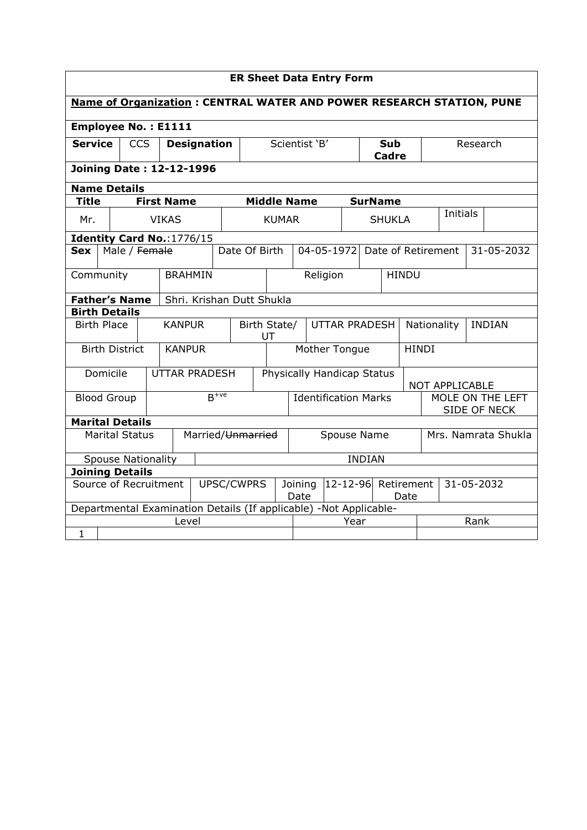| <b>ER Sheet Data Entry Form</b>                                       |                                                                   |            |                   |                           |           |                                            |                             |               |                             |      |                                  |                            |            |                               |      |            |
|-----------------------------------------------------------------------|-------------------------------------------------------------------|------------|-------------------|---------------------------|-----------|--------------------------------------------|-----------------------------|---------------|-----------------------------|------|----------------------------------|----------------------------|------------|-------------------------------|------|------------|
| Name of Organization : CENTRAL WATER AND POWER RESEARCH STATION, PUNE |                                                                   |            |                   |                           |           |                                            |                             |               |                             |      |                                  |                            |            |                               |      |            |
| <b>Employee No.: E1111</b>                                            |                                                                   |            |                   |                           |           |                                            |                             |               |                             |      |                                  |                            |            |                               |      |            |
| <b>Service</b>                                                        |                                                                   | <b>CCS</b> |                   | <b>Designation</b>        |           |                                            |                             | Scientist 'B' |                             |      |                                  | <b>Sub</b><br><b>Cadre</b> |            |                               |      | Research   |
|                                                                       | <b>Joining Date: 12-12-1996</b>                                   |            |                   |                           |           |                                            |                             |               |                             |      |                                  |                            |            |                               |      |            |
|                                                                       | <b>Name Details</b>                                               |            |                   |                           |           |                                            |                             |               |                             |      |                                  |                            |            |                               |      |            |
| <b>Title</b>                                                          |                                                                   |            | <b>First Name</b> |                           |           |                                            | <b>Middle Name</b>          |               |                             |      |                                  | <b>SurName</b>             |            |                               |      |            |
| Mr.                                                                   |                                                                   |            | <b>VIKAS</b>      |                           |           |                                            | <b>KUMAR</b>                |               |                             |      |                                  | <b>SHUKLA</b>              |            | <b>Initials</b>               |      |            |
|                                                                       | Identity Card No.: 1776/15                                        |            |                   |                           |           |                                            |                             |               |                             |      |                                  |                            |            |                               |      |            |
| <b>Sex</b>                                                            | Male / Female                                                     |            |                   |                           |           | Date Of Birth                              |                             |               |                             |      |                                  |                            |            | 04-05-1972 Date of Retirement |      | 31-05-2032 |
|                                                                       | Community                                                         |            |                   | <b>BRAHMIN</b>            |           |                                            | Religion                    |               |                             |      |                                  | <b>HINDU</b>               |            |                               |      |            |
|                                                                       | <b>Father's Name</b>                                              |            |                   | Shri. Krishan Dutt Shukla |           |                                            |                             |               |                             |      |                                  |                            |            |                               |      |            |
|                                                                       | <b>Birth Details</b>                                              |            |                   |                           |           |                                            |                             |               |                             |      |                                  |                            |            |                               |      |            |
|                                                                       | <b>Birth Place</b>                                                |            |                   | <b>KANPUR</b>             |           | Birth State/<br><b>UTTAR PRADESH</b><br>UT |                             |               |                             |      |                                  | Nationality                |            | <b>INDIAN</b>                 |      |            |
|                                                                       | <b>Birth District</b>                                             |            |                   | <b>KANPUR</b>             |           |                                            | Mother Tongue               |               |                             |      |                                  | <b>HINDI</b>               |            |                               |      |            |
|                                                                       | Domicile                                                          |            |                   | <b>UTTAR PRADESH</b>      |           | Physically Handicap Status                 |                             |               |                             |      |                                  |                            |            | NOT APPLICABLE                |      |            |
|                                                                       | <b>Blood Group</b>                                                |            |                   |                           | $B^{+ve}$ |                                            | <b>Identification Marks</b> |               |                             |      | MOLE ON THE LEFT<br>SIDE OF NECK |                            |            |                               |      |            |
|                                                                       | <b>Marital Details</b>                                            |            |                   |                           |           |                                            |                             |               |                             |      |                                  |                            |            |                               |      |            |
|                                                                       | <b>Marital Status</b>                                             |            |                   | Married/Unmarried         |           |                                            |                             |               | Spouse Name                 |      |                                  |                            |            | Mrs. Namrata Shukla           |      |            |
|                                                                       | <b>Spouse Nationality</b>                                         |            |                   |                           |           |                                            |                             |               |                             |      | <b>INDIAN</b>                    |                            |            |                               |      |            |
|                                                                       | <b>Joining Details</b>                                            |            |                   |                           |           |                                            |                             |               |                             |      |                                  |                            |            |                               |      |            |
| Source of Recruitment<br>UPSC/CWPRS                                   |                                                                   |            |                   |                           |           | Joining<br>Date                            |                             |               | 12-12-96 Retirement<br>Date |      |                                  |                            | 31-05-2032 |                               |      |            |
|                                                                       | Departmental Examination Details (If applicable) -Not Applicable- |            |                   |                           |           |                                            |                             |               |                             |      |                                  |                            |            |                               |      |            |
|                                                                       |                                                                   |            |                   | Level                     |           |                                            |                             |               |                             | Year |                                  |                            |            |                               | Rank |            |
| $\mathbf{1}$                                                          |                                                                   |            |                   |                           |           |                                            |                             |               |                             |      |                                  |                            |            |                               |      |            |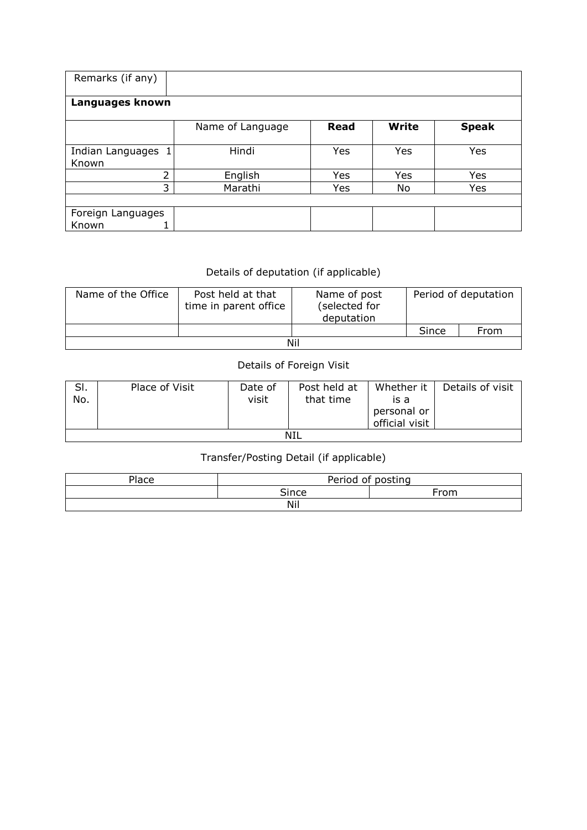| Remarks (if any)           |                  |             |              |              |  |  |  |  |  |  |
|----------------------------|------------------|-------------|--------------|--------------|--|--|--|--|--|--|
| Languages known            |                  |             |              |              |  |  |  |  |  |  |
|                            | Name of Language | <b>Read</b> | <b>Write</b> | <b>Speak</b> |  |  |  |  |  |  |
| Indian Languages<br>Known  | Hindi            | Yes         | Yes          | Yes          |  |  |  |  |  |  |
| 2                          | English          | Yes         | Yes          | Yes          |  |  |  |  |  |  |
| 3                          | Marathi          | Yes         | No           | Yes          |  |  |  |  |  |  |
| Foreign Languages<br>Known |                  |             |              |              |  |  |  |  |  |  |

## Details of deputation (if applicable)

| Name of the Office | Post held at that<br>time in parent office | Name of post<br>(selected for<br>deputation | Period of deputation |      |  |  |  |  |  |
|--------------------|--------------------------------------------|---------------------------------------------|----------------------|------|--|--|--|--|--|
|                    |                                            |                                             | Since                | From |  |  |  |  |  |
| Nil                |                                            |                                             |                      |      |  |  |  |  |  |

## Details of Foreign Visit

| SI.<br>No. | Place of Visit | Date of<br>visit | Post held at<br>that time | Whether it<br>is a<br>personal or<br>official visit | Details of visit |  |  |  |  |
|------------|----------------|------------------|---------------------------|-----------------------------------------------------|------------------|--|--|--|--|
| NIL        |                |                  |                           |                                                     |                  |  |  |  |  |

## Transfer/Posting Detail (if applicable)

| 이ace | Period of posting |      |  |  |  |  |  |
|------|-------------------|------|--|--|--|--|--|
|      | <b>Since</b>      | From |  |  |  |  |  |
| Nil  |                   |      |  |  |  |  |  |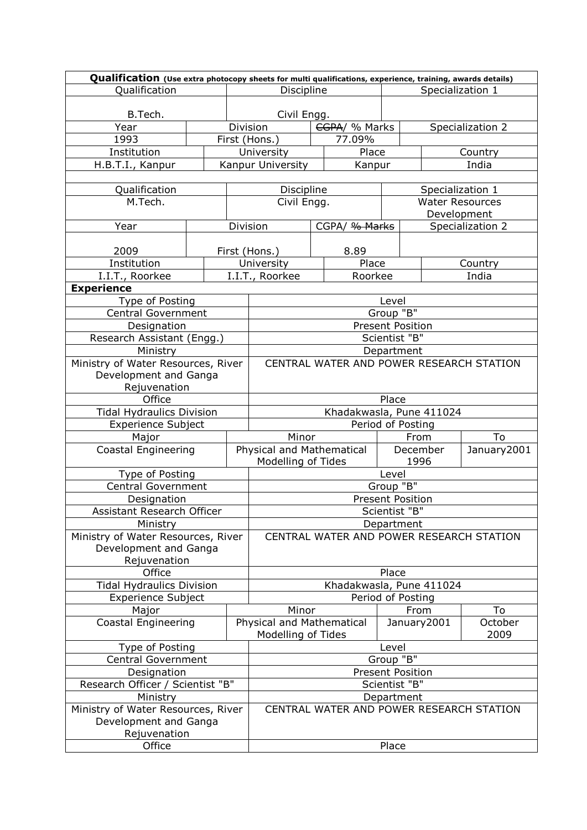| Qualification (Use extra photocopy sheets for multi qualifications, experience, training, awards details) |                         |  |                                          |                                          |                   |                         |                        |  |
|-----------------------------------------------------------------------------------------------------------|-------------------------|--|------------------------------------------|------------------------------------------|-------------------|-------------------------|------------------------|--|
| Qualification                                                                                             | Discipline              |  |                                          | Specialization 1                         |                   |                         |                        |  |
| B.Tech.                                                                                                   |                         |  | Civil Engg.                              |                                          |                   |                         |                        |  |
| Year                                                                                                      |                         |  | Division                                 | CGPA/ % Marks                            |                   | Specialization 2        |                        |  |
| 1993                                                                                                      |                         |  | First (Hons.)                            | 77.09%                                   |                   |                         |                        |  |
| Institution                                                                                               |                         |  | University                               | Place                                    |                   |                         | Country                |  |
| H.B.T.I., Kanpur                                                                                          |                         |  | Kanpur University                        | Kanpur                                   |                   |                         | India                  |  |
|                                                                                                           |                         |  |                                          |                                          |                   |                         |                        |  |
| Qualification                                                                                             |                         |  | Discipline                               |                                          |                   |                         | Specialization 1       |  |
| M.Tech.                                                                                                   |                         |  | Civil Engg.                              |                                          |                   |                         | <b>Water Resources</b> |  |
|                                                                                                           |                         |  |                                          |                                          |                   |                         | Development            |  |
| Year                                                                                                      |                         |  | Division                                 | CGPA/ % Marks                            |                   |                         | Specialization 2       |  |
| 2009                                                                                                      |                         |  | First (Hons.)                            | 8.89                                     |                   |                         |                        |  |
| Institution                                                                                               |                         |  | University                               | Place                                    |                   |                         | Country                |  |
| I.I.T., Roorkee                                                                                           |                         |  | I.I.T., Roorkee                          | Roorkee                                  |                   |                         | India                  |  |
| <b>Experience</b>                                                                                         |                         |  |                                          |                                          |                   |                         |                        |  |
| Type of Posting                                                                                           |                         |  |                                          |                                          | Level             |                         |                        |  |
| <b>Central Government</b>                                                                                 |                         |  |                                          |                                          | Group "B"         |                         |                        |  |
| Designation                                                                                               |                         |  |                                          |                                          | Present Position  |                         |                        |  |
| Research Assistant (Engg.)                                                                                |                         |  |                                          |                                          | Scientist "B"     |                         |                        |  |
| Ministry                                                                                                  |                         |  |                                          |                                          | Department        |                         |                        |  |
| Ministry of Water Resources, River                                                                        |                         |  |                                          | CENTRAL WATER AND POWER RESEARCH STATION |                   |                         |                        |  |
| Development and Ganga                                                                                     |                         |  |                                          |                                          |                   |                         |                        |  |
| Rejuvenation                                                                                              |                         |  |                                          |                                          |                   |                         |                        |  |
| Office                                                                                                    |                         |  |                                          |                                          | Place             |                         |                        |  |
| <b>Tidal Hydraulics Division</b>                                                                          |                         |  |                                          | Khadakwasla, Pune 411024                 |                   |                         |                        |  |
| <b>Experience Subject</b>                                                                                 |                         |  |                                          |                                          | Period of Posting |                         |                        |  |
| Major                                                                                                     |                         |  | Minor                                    |                                          | From              |                         | To                     |  |
| Coastal Engineering                                                                                       |                         |  | Physical and Mathematical                |                                          |                   | January2001<br>December |                        |  |
|                                                                                                           |                         |  | Modelling of Tides<br>1996               |                                          |                   |                         |                        |  |
| Type of Posting                                                                                           |                         |  | Level<br>Group "B"                       |                                          |                   |                         |                        |  |
| <b>Central Government</b>                                                                                 |                         |  | <b>Present Position</b>                  |                                          |                   |                         |                        |  |
| Designation                                                                                               |                         |  | Scientist "B"                            |                                          |                   |                         |                        |  |
| Assistant Research Officer<br>Ministry                                                                    |                         |  | Department                               |                                          |                   |                         |                        |  |
| Ministry of Water Resources, River                                                                        |                         |  | CENTRAL WATER AND POWER RESEARCH STATION |                                          |                   |                         |                        |  |
| Development and Ganga                                                                                     |                         |  |                                          |                                          |                   |                         |                        |  |
| Rejuvenation                                                                                              |                         |  |                                          |                                          |                   |                         |                        |  |
| Office                                                                                                    |                         |  | Place                                    |                                          |                   |                         |                        |  |
| <b>Tidal Hydraulics Division</b>                                                                          |                         |  | Khadakwasla, Pune 411024                 |                                          |                   |                         |                        |  |
| <b>Experience Subject</b>                                                                                 |                         |  |                                          |                                          | Period of Posting |                         |                        |  |
| Major                                                                                                     |                         |  | Minor                                    |                                          | From              |                         | To                     |  |
| <b>Coastal Engineering</b>                                                                                |                         |  | Physical and Mathematical                |                                          | January2001       |                         | October                |  |
|                                                                                                           |                         |  | Modelling of Tides                       |                                          |                   |                         | 2009                   |  |
| Type of Posting                                                                                           | Level                   |  |                                          |                                          |                   |                         |                        |  |
| <b>Central Government</b>                                                                                 | Group "B"               |  |                                          |                                          |                   |                         |                        |  |
| Designation                                                                                               | <b>Present Position</b> |  |                                          |                                          |                   |                         |                        |  |
| Research Officer / Scientist "B"                                                                          | Scientist "B"           |  |                                          |                                          |                   |                         |                        |  |
| Ministry                                                                                                  |                         |  | Department                               |                                          |                   |                         |                        |  |
| Ministry of Water Resources, River                                                                        |                         |  | CENTRAL WATER AND POWER RESEARCH STATION |                                          |                   |                         |                        |  |
| Development and Ganga                                                                                     |                         |  |                                          |                                          |                   |                         |                        |  |
| Rejuvenation                                                                                              |                         |  |                                          |                                          |                   |                         |                        |  |
| Office                                                                                                    | Place                   |  |                                          |                                          |                   |                         |                        |  |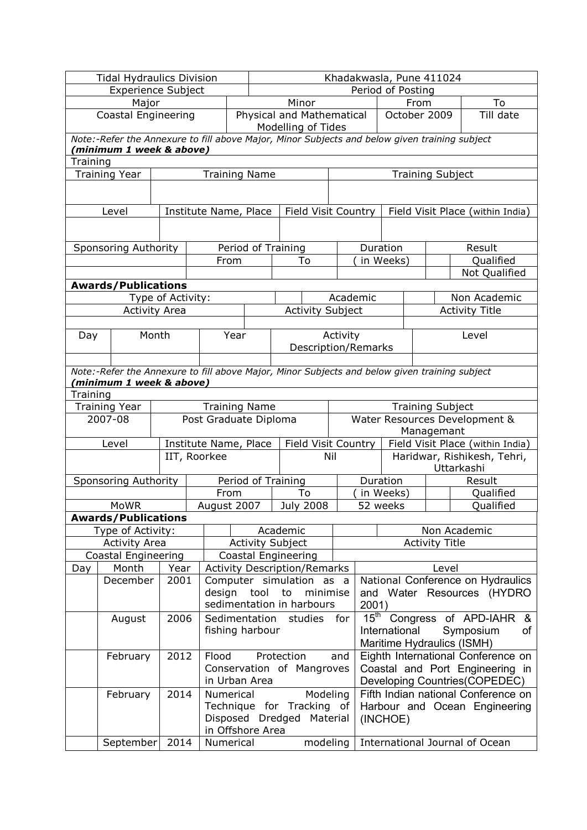| <b>Tidal Hydraulics Division</b> |                                                                                                                           |                      |                       |                                 | Khadakwasla, Pune 411024 |                                                                 |                                  |                                |                                    |                               |                                                  |  |
|----------------------------------|---------------------------------------------------------------------------------------------------------------------------|----------------------|-----------------------|---------------------------------|--------------------------|-----------------------------------------------------------------|----------------------------------|--------------------------------|------------------------------------|-------------------------------|--------------------------------------------------|--|
| <b>Experience Subject</b>        |                                                                                                                           |                      |                       |                                 | Period of Posting        |                                                                 |                                  |                                |                                    |                               |                                                  |  |
|                                  | Major                                                                                                                     |                      |                       |                                 |                          | Minor                                                           |                                  |                                |                                    | From                          | To                                               |  |
| <b>Coastal Engineering</b>       |                                                                                                                           |                      |                       |                                 |                          | Physical and Mathematical<br>October 2009<br>Modelling of Tides |                                  |                                |                                    | Till date                     |                                                  |  |
|                                  | Note:-Refer the Annexure to fill above Major, Minor Subjects and below given training subject<br>'minimum 1 week & above) |                      |                       |                                 |                          |                                                                 |                                  |                                |                                    |                               |                                                  |  |
| Training                         |                                                                                                                           |                      |                       |                                 |                          |                                                                 |                                  |                                |                                    |                               |                                                  |  |
|                                  | <b>Training Year</b>                                                                                                      |                      |                       |                                 | <b>Training Name</b>     |                                                                 |                                  |                                |                                    | <b>Training Subject</b>       |                                                  |  |
|                                  |                                                                                                                           |                      |                       |                                 |                          |                                                                 |                                  |                                |                                    |                               |                                                  |  |
|                                  | Level                                                                                                                     |                      | Institute Name, Place |                                 |                          | Field Visit Country                                             |                                  |                                |                                    |                               | Field Visit Place (within India)                 |  |
|                                  |                                                                                                                           |                      |                       |                                 |                          |                                                                 |                                  |                                |                                    |                               |                                                  |  |
|                                  | Sponsoring Authority                                                                                                      |                      |                       |                                 | Period of Training       |                                                                 |                                  |                                | Duration                           |                               | Result                                           |  |
|                                  |                                                                                                                           |                      |                       | From                            |                          | To                                                              |                                  |                                | in Weeks)                          |                               | Qualified                                        |  |
|                                  |                                                                                                                           |                      |                       |                                 |                          |                                                                 |                                  |                                |                                    |                               | Not Qualified                                    |  |
|                                  | <b>Awards/Publications</b>                                                                                                |                      |                       |                                 |                          |                                                                 |                                  |                                |                                    |                               |                                                  |  |
|                                  |                                                                                                                           | Type of Activity:    |                       |                                 |                          |                                                                 | Academic                         |                                |                                    |                               | Non Academic                                     |  |
|                                  |                                                                                                                           | <b>Activity Area</b> |                       |                                 |                          | <b>Activity Subject</b>                                         |                                  |                                |                                    |                               | <b>Activity Title</b>                            |  |
|                                  |                                                                                                                           |                      |                       |                                 |                          |                                                                 |                                  |                                |                                    |                               |                                                  |  |
| Day                              |                                                                                                                           | Month                |                       | Year                            |                          |                                                                 | Activity                         |                                |                                    |                               | Level                                            |  |
|                                  |                                                                                                                           |                      |                       |                                 |                          | Description/Remarks                                             |                                  |                                |                                    |                               |                                                  |  |
|                                  | Note:-Refer the Annexure to fill above Major, Minor Subjects and below given training subject                             |                      |                       |                                 |                          |                                                                 |                                  |                                |                                    |                               |                                                  |  |
|                                  | (minimum 1 week & above)                                                                                                  |                      |                       |                                 |                          |                                                                 |                                  |                                |                                    |                               |                                                  |  |
| Training                         |                                                                                                                           |                      |                       |                                 |                          |                                                                 |                                  |                                |                                    |                               |                                                  |  |
|                                  | <b>Training Year</b>                                                                                                      |                      |                       |                                 | <b>Training Name</b>     |                                                                 |                                  |                                |                                    | <b>Training Subject</b>       |                                                  |  |
|                                  | 2007-08                                                                                                                   |                      | Post Graduate Diploma |                                 |                          |                                                                 |                                  |                                |                                    |                               | Water Resources Development &                    |  |
|                                  |                                                                                                                           |                      |                       |                                 |                          |                                                                 |                                  |                                | Managemant                         |                               |                                                  |  |
|                                  | Level                                                                                                                     |                      | Institute Name, Place |                                 |                          | Field Visit Country                                             | Field Visit Place (within India) |                                |                                    |                               |                                                  |  |
|                                  |                                                                                                                           |                      | IIT, Roorkee          | Nil                             |                          |                                                                 |                                  |                                |                                    |                               | Haridwar, Rishikesh, Tehri,<br>Uttarkashi        |  |
|                                  | Sponsoring Authority                                                                                                      |                      |                       |                                 | Period of Training       |                                                                 |                                  |                                | Duration                           |                               | Result                                           |  |
|                                  |                                                                                                                           |                      |                       | From                            |                          | To                                                              |                                  |                                | in Weeks)                          |                               | Qualified                                        |  |
|                                  | <b>MoWR</b>                                                                                                               |                      |                       | <b>July 2008</b><br>August 2007 |                          |                                                                 |                                  |                                | Qualified<br>52 weeks              |                               |                                                  |  |
|                                  | <b>Awards/Publications</b>                                                                                                |                      |                       |                                 |                          |                                                                 |                                  |                                |                                    |                               |                                                  |  |
|                                  | Type of Activity:                                                                                                         |                      |                       | Academic                        |                          |                                                                 |                                  | Non Academic                   |                                    |                               |                                                  |  |
|                                  | <b>Activity Area</b>                                                                                                      |                      |                       | <b>Activity Subject</b>         |                          |                                                                 |                                  | <b>Activity Title</b>          |                                    |                               |                                                  |  |
|                                  | Coastal Engineering                                                                                                       |                      |                       |                                 |                          | Coastal Engineering                                             |                                  |                                |                                    |                               |                                                  |  |
| Day                              | Month                                                                                                                     | Year                 |                       |                                 |                          | <b>Activity Description/Remarks</b>                             |                                  |                                |                                    | Level                         |                                                  |  |
|                                  | December                                                                                                                  | 2001                 |                       |                                 |                          | Computer simulation as a                                        |                                  |                                |                                    |                               | National Conference on Hydraulics                |  |
|                                  |                                                                                                                           |                      | design                |                                 | tool                     | minimise<br>to                                                  |                                  |                                |                                    |                               | and Water Resources (HYDRO                       |  |
|                                  |                                                                                                                           |                      |                       |                                 |                          | sedimentation in harbours                                       |                                  | 2001)                          |                                    |                               |                                                  |  |
|                                  | August                                                                                                                    | 2006                 |                       |                                 |                          | Sedimentation studies                                           | for                              |                                | International                      |                               | $15th$ Congress of APD-IAHR &<br>Symposium<br>of |  |
|                                  |                                                                                                                           |                      |                       |                                 | fishing harbour          |                                                                 |                                  |                                |                                    | Maritime Hydraulics (ISMH)    |                                                  |  |
| Flood<br>Protection              |                                                                                                                           |                      |                       |                                 | and                      |                                                                 |                                  |                                | Eighth International Conference on |                               |                                                  |  |
| 2012<br>February                 |                                                                                                                           |                      |                       |                                 |                          | Conservation of Mangroves                                       |                                  |                                |                                    |                               | Coastal and Port Engineering in                  |  |
|                                  |                                                                                                                           |                      |                       | in Urban Area                   |                          |                                                                 |                                  |                                |                                    | Developing Countries(COPEDEC) |                                                  |  |
|                                  | February                                                                                                                  | 2014                 |                       | Numerical                       |                          | Modeling                                                        |                                  |                                |                                    |                               | Fifth Indian national Conference on              |  |
|                                  |                                                                                                                           |                      |                       |                                 |                          | Technique for Tracking of                                       |                                  | Harbour and Ocean Engineering  |                                    |                               |                                                  |  |
|                                  |                                                                                                                           |                      |                       |                                 | Disposed Dredged         |                                                                 | Material                         | (INCHOE)                       |                                    |                               |                                                  |  |
|                                  |                                                                                                                           |                      |                       |                                 | in Offshore Area         |                                                                 |                                  |                                |                                    |                               |                                                  |  |
|                                  | September                                                                                                                 | 2014                 |                       | Numerical                       |                          | modeling                                                        |                                  | International Journal of Ocean |                                    |                               |                                                  |  |